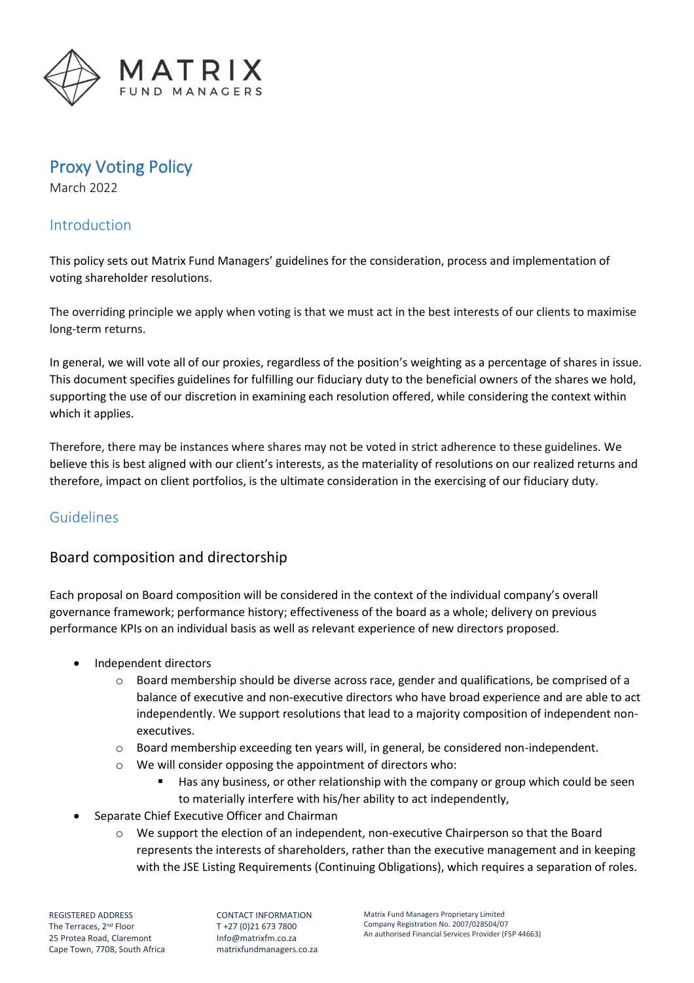

# Proxy Voting Policy

March 2022

### Introduction

This policy sets out Matrix Fund Managers' guidelines for the consideration, process and implementation of voting shareholder resolutions.

The overriding principle we apply when voting is that we must act in the best interests of our clients to maximise long-term returns.

In general, we will vote all of our proxies, regardless of the position's weighting as a percentage of shares in issue. This document specifies guidelines for fulfilling our fiduciary duty to the beneficial owners of the shares we hold, supporting the use of our discretion in examining each resolution offered, while considering the context within which it applies.

Therefore, there may be instances where shares may not be voted in strict adherence to these guidelines. We believe this is best aligned with our client's interests, as the materiality of resolutions on our realized returns and therefore, impact on client portfolios, is the ultimate consideration in the exercising of our fiduciary duty.

### Guidelines

## Board composition and directorship

Each proposal on Board composition will be considered in the context of the individual company's overall governance framework; performance history; effectiveness of the board as a whole; delivery on previous performance KPIs on an individual basis as well as relevant experience of new directors proposed.

- Independent directors
	- $\circ$  Board membership should be diverse across race, gender and qualifications, be comprised of a balance of executive and non-executive directors who have broad experience and are able to act independently. We support resolutions that lead to a majority composition of independent nonexecutives.
	- $\circ$  Board membership exceeding ten years will, in general, be considered non-independent.
	- o We will consider opposing the appointment of directors who:
		- Has any business, or other relationship with the company or group which could be seen to materially interfere with his/her ability to act independently,
- Separate Chief Executive Officer and Chairman
	- o We support the election of an independent, non-executive Chairperson so that the Board represents the interests of shareholders, rather than the executive management and in keeping with the JSE Listing Requirements (Continuing Obligations), which requires a separation of roles.

CONTACT INFORMATION T +27 (0)21 673 7800 [Info@matrixfm.co.za](mailto:Info@matrixfm.co.za) matrixfundmanagers.co.za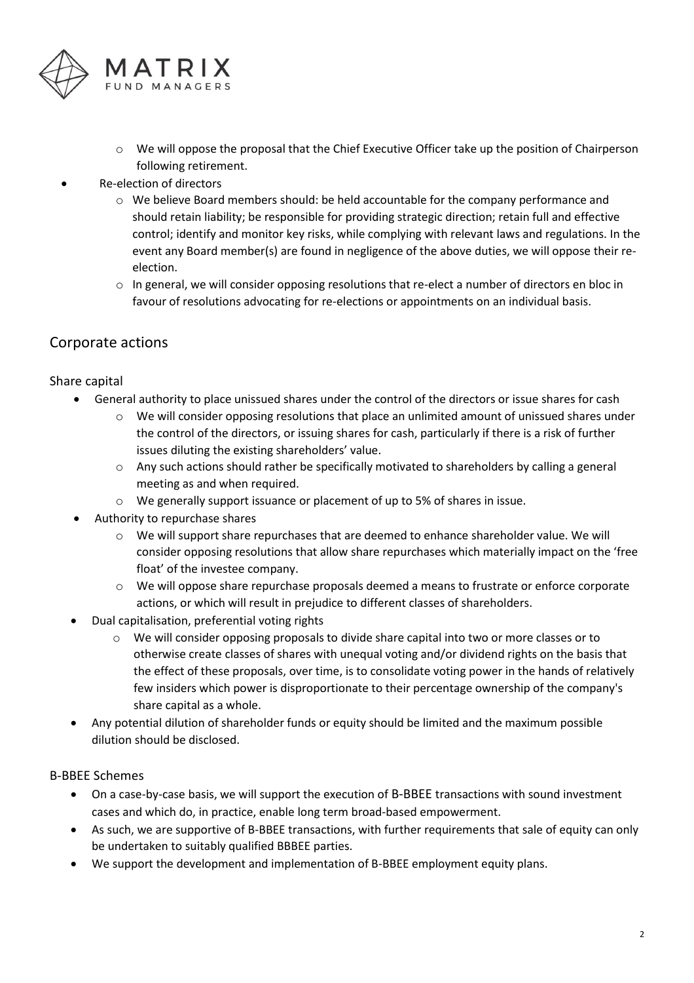

- o We will oppose the proposal that the Chief Executive Officer take up the position of Chairperson following retirement.
- Re-election of directors
	- $\circ$  We believe Board members should: be held accountable for the company performance and should retain liability; be responsible for providing strategic direction; retain full and effective control; identify and monitor key risks, while complying with relevant laws and regulations. In the event any Board member(s) are found in negligence of the above duties, we will oppose their reelection.
	- $\circ$  In general, we will consider opposing resolutions that re-elect a number of directors en bloc in favour of resolutions advocating for re-elections or appointments on an individual basis.

### Corporate actions

### Share capital

- General authority to place unissued shares under the control of the directors or issue shares for cash
	- $\circ$  We will consider opposing resolutions that place an unlimited amount of unissued shares under the control of the directors, or issuing shares for cash, particularly if there is a risk of further issues diluting the existing shareholders' value.
	- $\circ$  Any such actions should rather be specifically motivated to shareholders by calling a general meeting as and when required.
	- o We generally support issuance or placement of up to 5% of shares in issue.
- Authority to repurchase shares
	- o We will support share repurchases that are deemed to enhance shareholder value. We will consider opposing resolutions that allow share repurchases which materially impact on the 'free float' of the investee company.
	- $\circ$  We will oppose share repurchase proposals deemed a means to frustrate or enforce corporate actions, or which will result in prejudice to different classes of shareholders.
- Dual capitalisation, preferential voting rights
	- o We will consider opposing proposals to divide share capital into two or more classes or to otherwise create classes of shares with unequal voting and/or dividend rights on the basis that the effect of these proposals, over time, is to consolidate voting power in the hands of relatively few insiders which power is disproportionate to their percentage ownership of the company's share capital as a whole.
- Any potential dilution of shareholder funds or equity should be limited and the maximum possible dilution should be disclosed.

### B-BBEE Schemes

- On a case-by-case basis, we will support the execution of B-BBEE transactions with sound investment cases and which do, in practice, enable long term broad-based empowerment.
- As such, we are supportive of B-BBEE transactions, with further requirements that sale of equity can only be undertaken to suitably qualified BBBEE parties.
- We support the development and implementation of B-BBEE employment equity plans.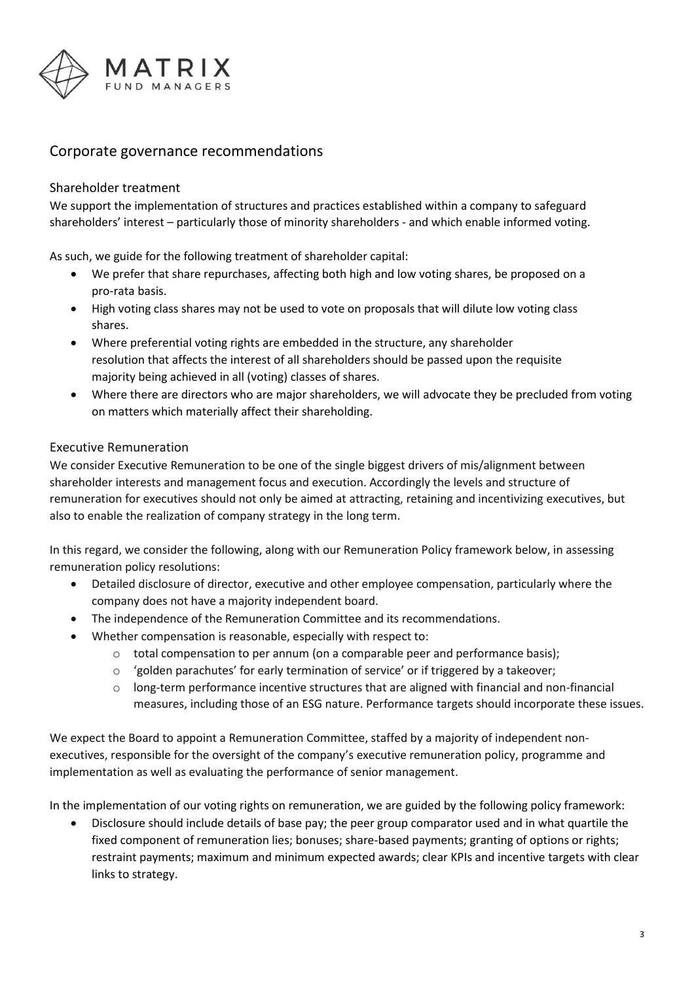

### Corporate governance recommendations

### Shareholder treatment

We support the implementation of structures and practices established within a company to safeguard shareholders' interest – particularly those of minority shareholders - and which enable informed voting.

As such, we guide for the following treatment of shareholder capital:

- We prefer that share repurchases, affecting both high and low voting shares, be proposed on a pro-rata basis.
- High voting class shares may not be used to vote on proposals that will dilute low voting class shares.
- Where preferential voting rights are embedded in the structure, any shareholder resolution that affects the interest of all shareholders should be passed upon the requisite majority being achieved in all (voting) classes of shares.
- Where there are directors who are major shareholders, we will advocate they be precluded from voting on matters which materially affect their shareholding.

#### Executive Remuneration

We consider Executive Remuneration to be one of the single biggest drivers of mis/alignment between shareholder interests and management focus and execution. Accordingly the levels and structure of remuneration for executives should not only be aimed at attracting, retaining and incentivizing executives, but also to enable the realization of company strategy in the long term.

In this regard, we consider the following, along with our Remuneration Policy framework below, in assessing remuneration policy resolutions:

- Detailed disclosure of director, executive and other employee compensation, particularly where the company does not have a majority independent board.
- The independence of the Remuneration Committee and its recommendations.
- Whether compensation is reasonable, especially with respect to:
	- o total compensation to per annum (on a comparable peer and performance basis);
	- $\circ$  'golden parachutes' for early termination of service' or if triggered by a takeover;
	- $\circ$  long-term performance incentive structures that are aligned with financial and non-financial measures, including those of an ESG nature. Performance targets should incorporate these issues.

We expect the Board to appoint a Remuneration Committee, staffed by a majority of independent nonexecutives, responsible for the oversight of the company's executive remuneration policy, programme and implementation as well as evaluating the performance of senior management.

In the implementation of our voting rights on remuneration, we are guided by the following policy framework:

• Disclosure should include details of base pay; the peer group comparator used and in what quartile the fixed component of remuneration lies; bonuses; share-based payments; granting of options or rights; restraint payments; maximum and minimum expected awards; clear KPIs and incentive targets with clear links to strategy.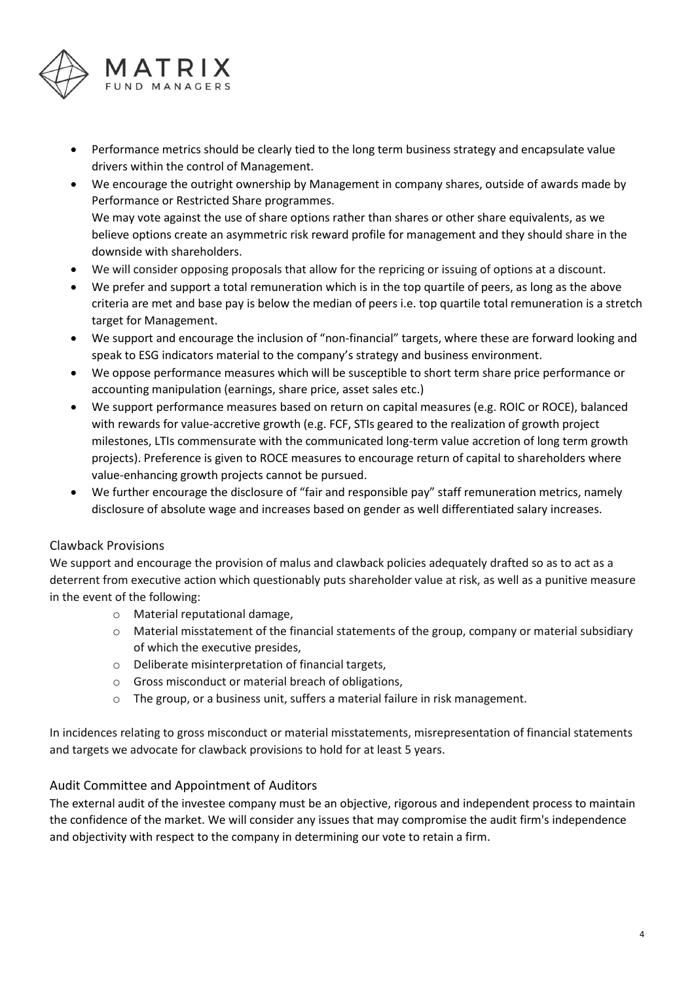

- Performance metrics should be clearly tied to the long term business strategy and encapsulate value drivers within the control of Management.
- We encourage the outright ownership by Management in company shares, outside of awards made by Performance or Restricted Share programmes. We may vote against the use of share options rather than shares or other share equivalents, as we believe options create an asymmetric risk reward profile for management and they should share in the downside with shareholders.
- We will consider opposing proposals that allow for the repricing or issuing of options at a discount.
- We prefer and support a total remuneration which is in the top quartile of peers, as long as the above criteria are met and base pay is below the median of peers i.e. top quartile total remuneration is a stretch target for Management.
- We support and encourage the inclusion of "non-financial" targets, where these are forward looking and speak to ESG indicators material to the company's strategy and business environment.
- We oppose performance measures which will be susceptible to short term share price performance or accounting manipulation (earnings, share price, asset sales etc.)
- We support performance measures based on return on capital measures (e.g. ROIC or ROCE), balanced with rewards for value-accretive growth (e.g. FCF, STIs geared to the realization of growth project milestones, LTIs commensurate with the communicated long-term value accretion of long term growth projects). Preference is given to ROCE measures to encourage return of capital to shareholders where value-enhancing growth projects cannot be pursued.
- We further encourage the disclosure of "fair and responsible pay" staff remuneration metrics, namely disclosure of absolute wage and increases based on gender as well differentiated salary increases.

### Clawback Provisions

We support and encourage the provision of malus and clawback policies adequately drafted so as to act as a deterrent from executive action which questionably puts shareholder value at risk, as well as a punitive measure in the event of the following:

- o Material reputational damage,
- o Material misstatement of the financial statements of the group, company or material subsidiary of which the executive presides,
- o Deliberate misinterpretation of financial targets,
- o Gross misconduct or material breach of obligations,
- o The group, or a business unit, suffers a material failure in risk management.

In incidences relating to gross misconduct or material misstatements, misrepresentation of financial statements and targets we advocate for clawback provisions to hold for at least 5 years.

### Audit Committee and Appointment of Auditors

The external audit of the investee company must be an objective, rigorous and independent process to maintain the confidence of the market. We will consider any issues that may compromise the audit firm's independence and objectivity with respect to the company in determining our vote to retain a firm.